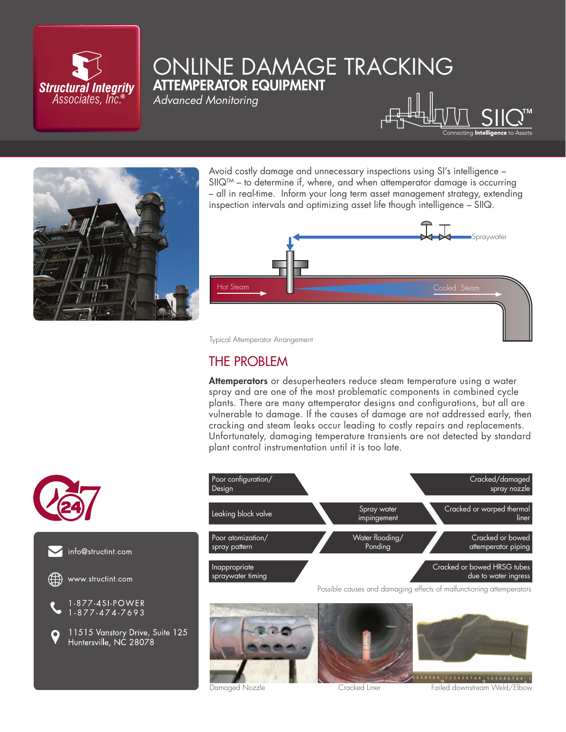

# ONLINE DAMAGE TRACKING ATTEMPERATOR EQUIPMENT

*Advanced Monitoring*





Avoid costly damage and unnecessary inspections using SI's intelligence –  $SIOQ^{TM}$  – to determine if, where, and when attemperator damage is occurring – all in real-time. Inform your long term asset management strategy, extending inspection intervals and optimizing asset life though intelligence – SIIQ.



Typical Attemperator Arrangement

## THE PROBLEM

Attemperators or desuperheaters reduce steam temperature using a water spray and are one of the most problematic components in combined cycle plants. There are many attemperator designs and configurations, but all are vulnerable to damage. If the causes of damage are not addressed early, then cracking and steam leaks occur leading to costly repairs and replacements. Unfortunately, damaging temperature transients are not detected by standard plant control instrumentation until it is too late.